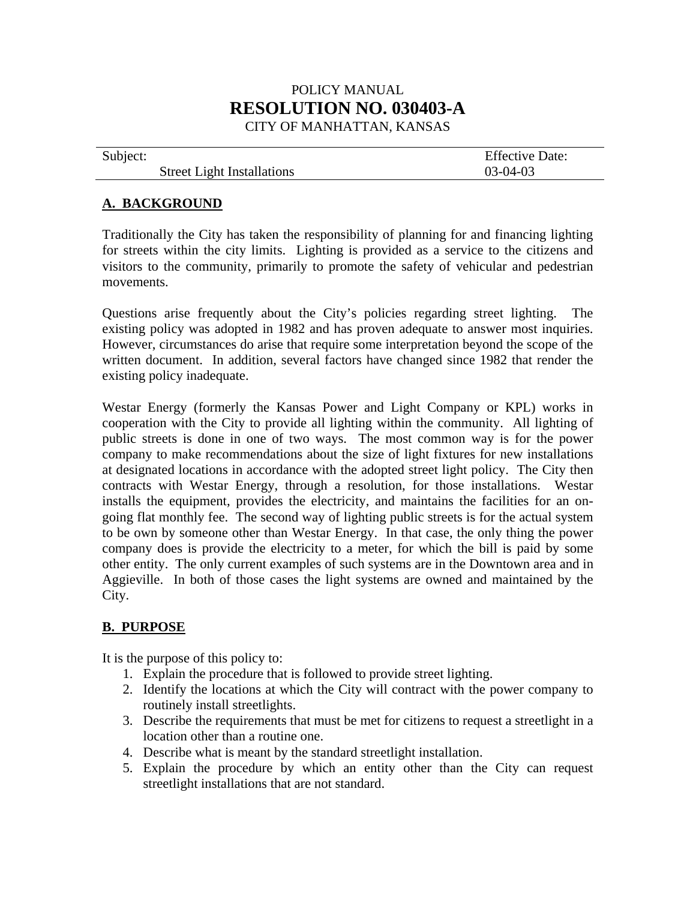## POLICY MANUAL **RESOLUTION NO. 030403-A**  CITY OF MANHATTAN, KANSAS

| Subject: |                                   | <b>Effective Date:</b> |
|----------|-----------------------------------|------------------------|
|          | <b>Street Light Installations</b> | $03-04-03$             |

#### **A. BACKGROUND**

Traditionally the City has taken the responsibility of planning for and financing lighting for streets within the city limits. Lighting is provided as a service to the citizens and visitors to the community, primarily to promote the safety of vehicular and pedestrian movements.

Questions arise frequently about the City's policies regarding street lighting. The existing policy was adopted in 1982 and has proven adequate to answer most inquiries. However, circumstances do arise that require some interpretation beyond the scope of the written document. In addition, several factors have changed since 1982 that render the existing policy inadequate.

Westar Energy (formerly the Kansas Power and Light Company or KPL) works in cooperation with the City to provide all lighting within the community. All lighting of public streets is done in one of two ways. The most common way is for the power company to make recommendations about the size of light fixtures for new installations at designated locations in accordance with the adopted street light policy. The City then contracts with Westar Energy, through a resolution, for those installations. Westar installs the equipment, provides the electricity, and maintains the facilities for an ongoing flat monthly fee. The second way of lighting public streets is for the actual system to be own by someone other than Westar Energy. In that case, the only thing the power company does is provide the electricity to a meter, for which the bill is paid by some other entity. The only current examples of such systems are in the Downtown area and in Aggieville. In both of those cases the light systems are owned and maintained by the City.

#### **B. PURPOSE**

It is the purpose of this policy to:

- 1. Explain the procedure that is followed to provide street lighting.
- 2. Identify the locations at which the City will contract with the power company to routinely install streetlights.
- 3. Describe the requirements that must be met for citizens to request a streetlight in a location other than a routine one.
- 4. Describe what is meant by the standard streetlight installation.
- 5. Explain the procedure by which an entity other than the City can request streetlight installations that are not standard.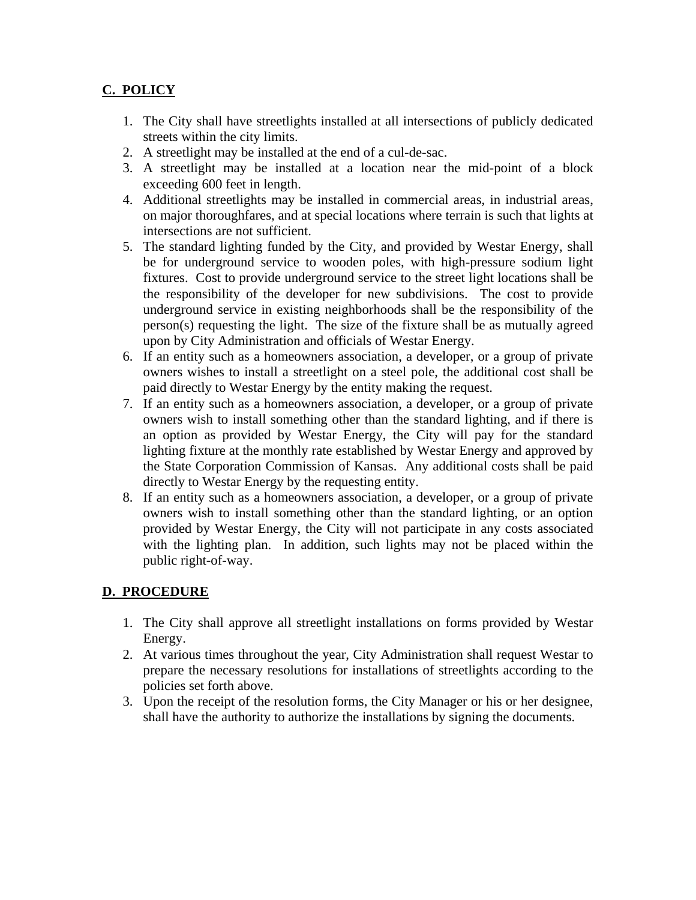## **C. POLICY**

- 1. The City shall have streetlights installed at all intersections of publicly dedicated streets within the city limits.
- 2. A streetlight may be installed at the end of a cul-de-sac.
- 3. A streetlight may be installed at a location near the mid-point of a block exceeding 600 feet in length.
- 4. Additional streetlights may be installed in commercial areas, in industrial areas, on major thoroughfares, and at special locations where terrain is such that lights at intersections are not sufficient.
- 5. The standard lighting funded by the City, and provided by Westar Energy, shall be for underground service to wooden poles, with high-pressure sodium light fixtures. Cost to provide underground service to the street light locations shall be the responsibility of the developer for new subdivisions. The cost to provide underground service in existing neighborhoods shall be the responsibility of the person(s) requesting the light. The size of the fixture shall be as mutually agreed upon by City Administration and officials of Westar Energy.
- 6. If an entity such as a homeowners association, a developer, or a group of private owners wishes to install a streetlight on a steel pole, the additional cost shall be paid directly to Westar Energy by the entity making the request.
- 7. If an entity such as a homeowners association, a developer, or a group of private owners wish to install something other than the standard lighting, and if there is an option as provided by Westar Energy, the City will pay for the standard lighting fixture at the monthly rate established by Westar Energy and approved by the State Corporation Commission of Kansas. Any additional costs shall be paid directly to Westar Energy by the requesting entity.
- 8. If an entity such as a homeowners association, a developer, or a group of private owners wish to install something other than the standard lighting, or an option provided by Westar Energy, the City will not participate in any costs associated with the lighting plan. In addition, such lights may not be placed within the public right-of-way.

### **D. PROCEDURE**

- 1. The City shall approve all streetlight installations on forms provided by Westar Energy.
- 2. At various times throughout the year, City Administration shall request Westar to prepare the necessary resolutions for installations of streetlights according to the policies set forth above.
- 3. Upon the receipt of the resolution forms, the City Manager or his or her designee, shall have the authority to authorize the installations by signing the documents.